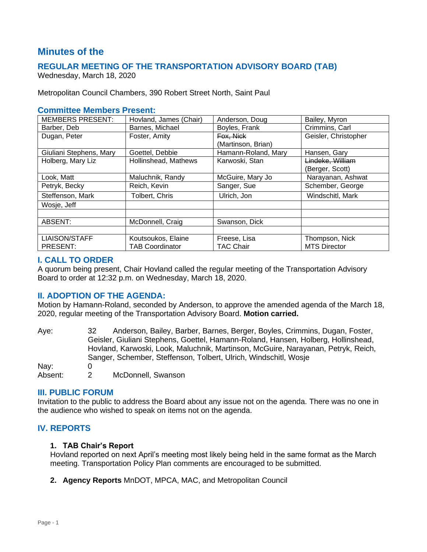# **Minutes of the**

# **REGULAR MEETING OF THE TRANSPORTATION ADVISORY BOARD (TAB)**

Wednesday, March 18, 2020

Metropolitan Council Chambers, 390 Robert Street North, Saint Paul

#### **Committee Members Present:**

| <b>MEMBERS PRESENT:</b> | Hovland, James (Chair) | Anderson, Doug      | Bailey, Myron        |
|-------------------------|------------------------|---------------------|----------------------|
| Barber, Deb             | Barnes, Michael        | Boyles, Frank       | Crimmins, Carl       |
| Dugan, Peter            | Foster, Amity          | Fox, Nick           | Geisler, Christopher |
|                         |                        | (Martinson, Brian)  |                      |
| Giuliani Stephens, Mary | Goettel, Debbie        | Hamann-Roland, Mary | Hansen, Gary         |
| Holberg, Mary Liz       | Hollinshead, Mathews   | Karwoski, Stan      | Lindeke, William     |
|                         |                        |                     | (Berger, Scott)      |
| Look, Matt              | Maluchnik, Randy       | McGuire, Mary Jo    | Narayanan, Ashwat    |
| Petryk, Becky           | Reich, Kevin           | Sanger, Sue         | Schember, George     |
| Steffenson, Mark        | Tolbert, Chris         | Ulrich, Jon         | Windschitl, Mark     |
| Wosje, Jeff             |                        |                     |                      |
|                         |                        |                     |                      |
| ABSENT:                 | McDonnell, Craig       | Swanson, Dick       |                      |
|                         |                        |                     |                      |
| <b>LIAISON/STAFF</b>    | Koutsoukos, Elaine     | Freese, Lisa        | Thompson, Nick       |
| PRESENT:                | <b>TAB Coordinator</b> | <b>TAC Chair</b>    | <b>MTS Director</b>  |

### **I. CALL TO ORDER**

A quorum being present, Chair Hovland called the regular meeting of the Transportation Advisory Board to order at 12:32 p.m. on Wednesday, March 18, 2020.

### **II. ADOPTION OF THE AGENDA:**

Motion by Hamann-Roland, seconded by Anderson, to approve the amended agenda of the March 18, 2020, regular meeting of the Transportation Advisory Board. **Motion carried.**

Aye: 32 Anderson, Bailey, Barber, Barnes, Berger, Boyles, Crimmins, Dugan, Foster, Geisler, Giuliani Stephens, Goettel, Hamann-Roland, Hansen, Holberg, Hollinshead, Hovland, Karwoski, Look, Maluchnik, Martinson, McGuire, Narayanan, Petryk, Reich, Sanger, Schember, Steffenson, Tolbert, Ulrich, Windschitl, Wosje Nav: 0 Absent: 2 McDonnell, Swanson

#### **III. PUBLIC FORUM**

Invitation to the public to address the Board about any issue not on the agenda. There was no one in the audience who wished to speak on items not on the agenda.

### **IV. REPORTS**

#### **1. TAB Chair's Report**

Hovland reported on next April's meeting most likely being held in the same format as the March meeting. Transportation Policy Plan comments are encouraged to be submitted.

**2. Agency Reports** MnDOT, MPCA, MAC, and Metropolitan Council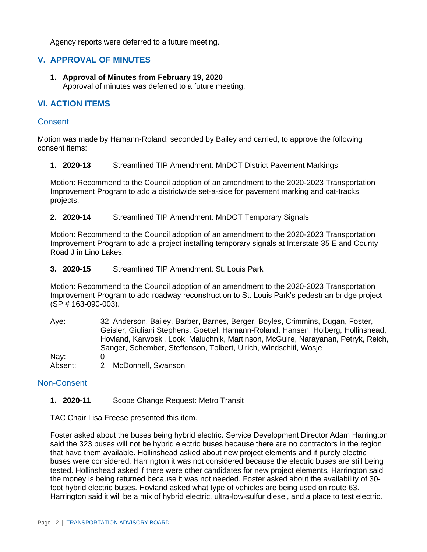Agency reports were deferred to a future meeting.

## **V. APPROVAL OF MINUTES**

**1. Approval of Minutes from February 19, 2020** Approval of minutes was deferred to a future meeting.

## **VI. ACTION ITEMS**

#### **Consent**

Motion was made by Hamann-Roland, seconded by Bailey and carried, to approve the following consent items:

**1. 2020-13** Streamlined TIP Amendment: MnDOT District Pavement Markings

Motion: Recommend to the Council adoption of an amendment to the 2020-2023 Transportation Improvement Program to add a districtwide set-a-side for pavement marking and cat-tracks projects.

**2. 2020-14** Streamlined TIP Amendment: MnDOT Temporary Signals

Motion: Recommend to the Council adoption of an amendment to the 2020-2023 Transportation Improvement Program to add a project installing temporary signals at Interstate 35 E and County Road J in Lino Lakes.

**3. 2020-15** Streamlined TIP Amendment: St. Louis Park

Motion: Recommend to the Council adoption of an amendment to the 2020-2023 Transportation Improvement Program to add roadway reconstruction to St. Louis Park's pedestrian bridge project (SP # 163-090-003).

Aye: 32 Anderson, Bailey, Barber, Barnes, Berger, Boyles, Crimmins, Dugan, Foster, Geisler, Giuliani Stephens, Goettel, Hamann-Roland, Hansen, Holberg, Hollinshead, Hovland, Karwoski, Look, Maluchnik, Martinson, McGuire, Narayanan, Petryk, Reich, Sanger, Schember, Steffenson, Tolbert, Ulrich, Windschitl, Wosje Nay: 0 Absent: 2 McDonnell, Swanson

#### Non-Consent

**1. 2020-11** Scope Change Request: Metro Transit

TAC Chair Lisa Freese presented this item.

Foster asked about the buses being hybrid electric. Service Development Director Adam Harrington said the 323 buses will not be hybrid electric buses because there are no contractors in the region that have them available. Hollinshead asked about new project elements and if purely electric buses were considered. Harrington it was not considered because the electric buses are still being tested. Hollinshead asked if there were other candidates for new project elements. Harrington said the money is being returned because it was not needed. Foster asked about the availability of 30 foot hybrid electric buses. Hovland asked what type of vehicles are being used on route 63. Harrington said it will be a mix of hybrid electric, ultra-low-sulfur diesel, and a place to test electric.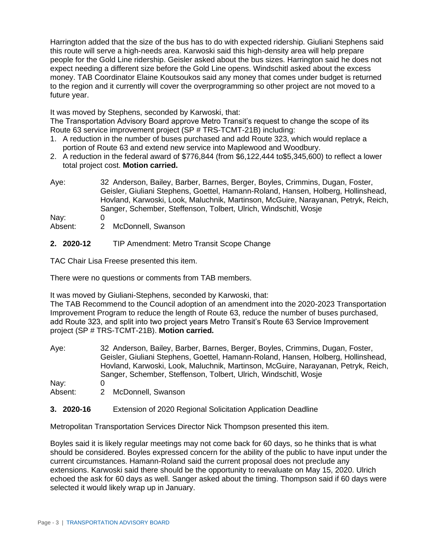Harrington added that the size of the bus has to do with expected ridership. Giuliani Stephens said this route will serve a high-needs area. Karwoski said this high-density area will help prepare people for the Gold Line ridership. Geisler asked about the bus sizes. Harrington said he does not expect needing a different size before the Gold Line opens. Windschitl asked about the excess money. TAB Coordinator Elaine Koutsoukos said any money that comes under budget is returned to the region and it currently will cover the overprogramming so other project are not moved to a future year.

It was moved by Stephens, seconded by Karwoski, that:

The Transportation Advisory Board approve Metro Transit's request to change the scope of its Route 63 service improvement project (SP # TRS-TCMT-21B) including:

- 1. A reduction in the number of buses purchased and add Route 323, which would replace a portion of Route 63 and extend new service into Maplewood and Woodbury.
- 2. A reduction in the federal award of \$776,844 (from \$6,122,444 to\$5,345,600) to reflect a lower total project cost. **Motion carried.**
- Aye: 32 Anderson, Bailey, Barber, Barnes, Berger, Boyles, Crimmins, Dugan, Foster, Geisler, Giuliani Stephens, Goettel, Hamann-Roland, Hansen, Holberg, Hollinshead, Hovland, Karwoski, Look, Maluchnik, Martinson, McGuire, Narayanan, Petryk, Reich, Sanger, Schember, Steffenson, Tolbert, Ulrich, Windschitl, Wosje

Nav: 0

- Absent: 2 McDonnell, Swanson
- **2. 2020-12** TIP Amendment: Metro Transit Scope Change

TAC Chair Lisa Freese presented this item.

There were no questions or comments from TAB members.

It was moved by Giuliani-Stephens, seconded by Karwoski, that:

The TAB Recommend to the Council adoption of an amendment into the 2020-2023 Transportation Improvement Program to reduce the length of Route 63, reduce the number of buses purchased, add Route 323, and split into two project years Metro Transit's Route 63 Service Improvement project (SP # TRS-TCMT-21B). **Motion carried.**

Aye: 32 Anderson, Bailey, Barber, Barnes, Berger, Boyles, Crimmins, Dugan, Foster, Geisler, Giuliani Stephens, Goettel, Hamann-Roland, Hansen, Holberg, Hollinshead, Hovland, Karwoski, Look, Maluchnik, Martinson, McGuire, Narayanan, Petryk, Reich, Sanger, Schember, Steffenson, Tolbert, Ulrich, Windschitl, Wosje

Nay: 0

- Absent: 2 McDonnell, Swanson
- **3. 2020-16** Extension of 2020 Regional Solicitation Application Deadline

Metropolitan Transportation Services Director Nick Thompson presented this item.

Boyles said it is likely regular meetings may not come back for 60 days, so he thinks that is what should be considered. Boyles expressed concern for the ability of the public to have input under the current circumstances. Hamann-Roland said the current proposal does not preclude any extensions. Karwoski said there should be the opportunity to reevaluate on May 15, 2020. Ulrich echoed the ask for 60 days as well. Sanger asked about the timing. Thompson said if 60 days were selected it would likely wrap up in January.